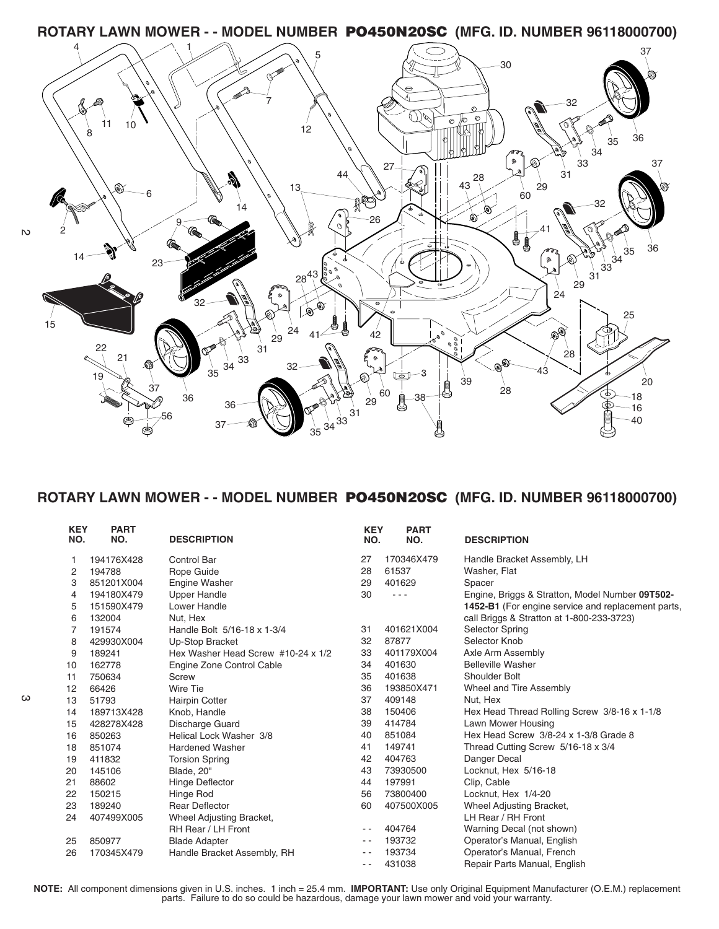**ROTARY LAWN MOWER - - MODEL NUMBER PO450N20SC (MFG. ID. NUMBER 96118000700)**